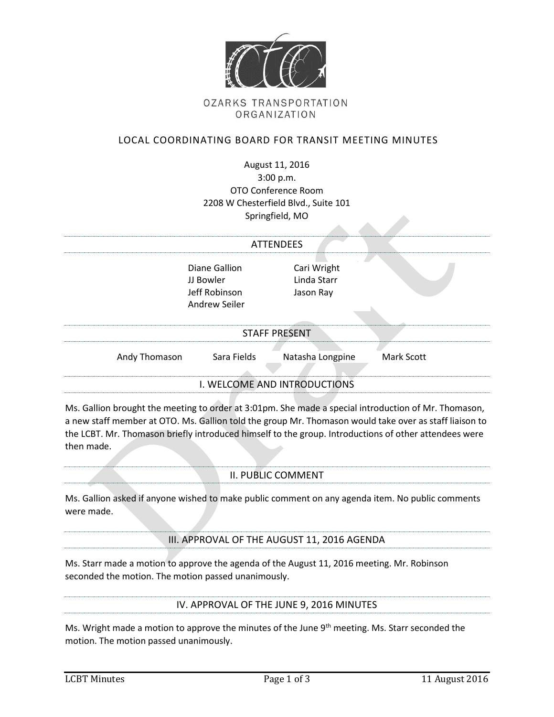

# **OZARKS TRANSPORTATION** ORGANIZATION

# LOCAL COORDINATING BOARD FOR TRANSIT MEETING MINUTES

| August 11, 2016                      |
|--------------------------------------|
| 3:00 p.m.                            |
| OTO Conference Room                  |
| 2208 W Chesterfield Blvd., Suite 101 |
| Springfield, MO                      |

|                              |                                                              | Springfield, MO                         |            |  |
|------------------------------|--------------------------------------------------------------|-----------------------------------------|------------|--|
|                              |                                                              |                                         |            |  |
| <b>ATTENDEES</b>             |                                                              |                                         |            |  |
|                              | Diane Gallion<br>JJ Bowler<br>Jeff Robinson<br>Andrew Seiler | Cari Wright<br>Linda Starr<br>Jason Ray |            |  |
| <b>STAFF PRESENT</b>         |                                                              |                                         |            |  |
| Andy Thomason                | Sara Fields                                                  | Natasha Longpine                        | Mark Scott |  |
| I. WELCOME AND INTRODUCTIONS |                                                              |                                         |            |  |

Ms. Gallion brought the meeting to order at 3:01pm. She made a special introduction of Mr. Thomason, a new staff member at OTO. Ms. Gallion told the group Mr. Thomason would take over as staff liaison to the LCBT. Mr. Thomason briefly introduced himself to the group. Introductions of other attendees were then made.

## II. PUBLIC COMMENT

Ms. Gallion asked if anyone wished to make public comment on any agenda item. No public comments were made.

#### III. APPROVAL OF THE AUGUST 11, 2016 AGENDA

Ms. Starr made a motion to approve the agenda of the August 11, 2016 meeting. Mr. Robinson seconded the motion. The motion passed unanimously.

IV. APPROVAL OF THE JUNE 9, 2016 MINUTES

Ms. Wright made a motion to approve the minutes of the June 9<sup>th</sup> meeting. Ms. Starr seconded the motion. The motion passed unanimously.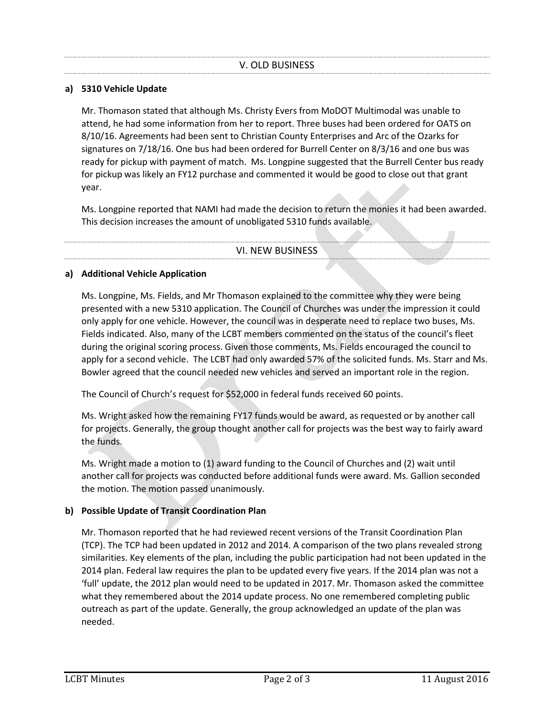## **a) 5310 Vehicle Update**

Mr. Thomason stated that although Ms. Christy Evers from MoDOT Multimodal was unable to attend, he had some information from her to report. Three buses had been ordered for OATS on 8/10/16. Agreements had been sent to Christian County Enterprises and Arc of the Ozarks for signatures on 7/18/16. One bus had been ordered for Burrell Center on 8/3/16 and one bus was ready for pickup with payment of match. Ms. Longpine suggested that the Burrell Center bus ready for pickup was likely an FY12 purchase and commented it would be good to close out that grant year.

Ms. Longpine reported that NAMI had made the decision to return the monies it had been awarded. This decision increases the amount of unobligated 5310 funds available.

VI. NEW BUSINESS

#### **a) Additional Vehicle Application**

Ms. Longpine, Ms. Fields, and Mr Thomason explained to the committee why they were being presented with a new 5310 application. The Council of Churches was under the impression it could only apply for one vehicle. However, the council was in desperate need to replace two buses, Ms. Fields indicated. Also, many of the LCBT members commented on the status of the council's fleet during the original scoring process. Given those comments, Ms. Fields encouraged the council to apply for a second vehicle. The LCBT had only awarded 57% of the solicited funds. Ms. Starr and Ms. Bowler agreed that the council needed new vehicles and served an important role in the region.

The Council of Church's request for \$52,000 in federal funds received 60 points.

Ms. Wright asked how the remaining FY17 funds would be award, as requested or by another call for projects. Generally, the group thought another call for projects was the best way to fairly award the funds.

Ms. Wright made a motion to (1) award funding to the Council of Churches and (2) wait until another call for projects was conducted before additional funds were award. Ms. Gallion seconded the motion. The motion passed unanimously.

## **b) Possible Update of Transit Coordination Plan**

Mr. Thomason reported that he had reviewed recent versions of the Transit Coordination Plan (TCP). The TCP had been updated in 2012 and 2014. A comparison of the two plans revealed strong similarities. Key elements of the plan, including the public participation had not been updated in the 2014 plan. Federal law requires the plan to be updated every five years. If the 2014 plan was not a 'full' update, the 2012 plan would need to be updated in 2017. Mr. Thomason asked the committee what they remembered about the 2014 update process. No one remembered completing public outreach as part of the update. Generally, the group acknowledged an update of the plan was needed.